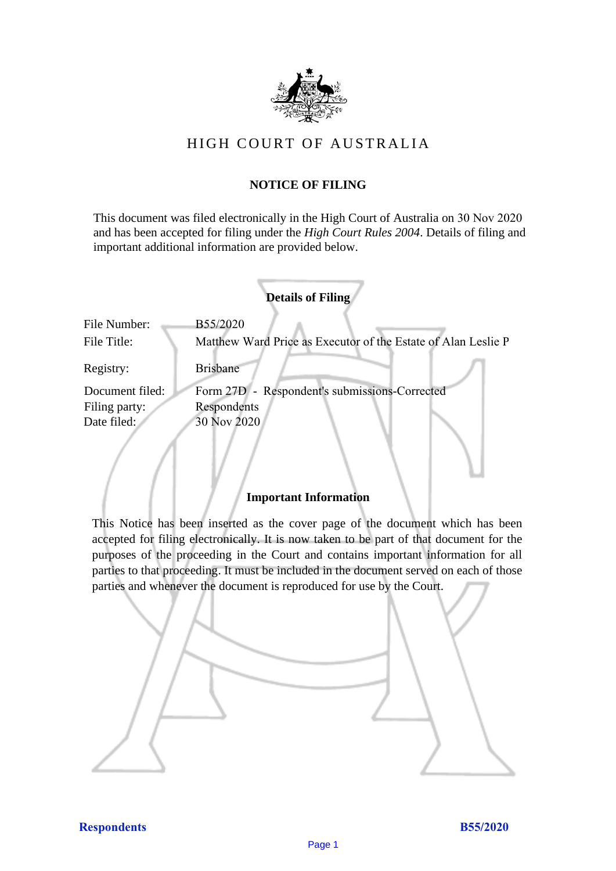

# HIGH COURT OF AU STRALIA HIGH COURT OF AUSTRALIA

## **NOTICE OF FILING** NOTICE OF FILING

This document was filed electronically in the High Court of Australia on 30 Nov 2020 This document was filed electronically in the High Court of Australia 20 and has been accepted for filing under the *High Court Rules 2004*. Details of filing and important additional information are provided below. important additional information are provided below.

|                 | <b>Details of Filing</b>                                      |
|-----------------|---------------------------------------------------------------|
| File Number:    | B55/2020                                                      |
| File Title:     | Matthew Ward Price as Executor of the Estate of Alan Leslie P |
| Registry:       | Brisbane                                                      |
| Document filed: | Form 27D - Respondent's submissions-Corrected                 |
| Filing party:   | Respondents                                                   |
| Date filed:     | 30 Nov 2020                                                   |
|                 |                                                               |

### **Important Information** Important Information

This Notice has been inserted as the cover page of the document which has been accepted for filing electronically. It is now taken to be part of that document for the purposes of the proceeding in the Court and contains important information for all parties to that proceeding. It must be included in the document served on each of those parties and whenever the document is reproduced for use by the Court. parties and whenever the document is reproduced for use by the Court

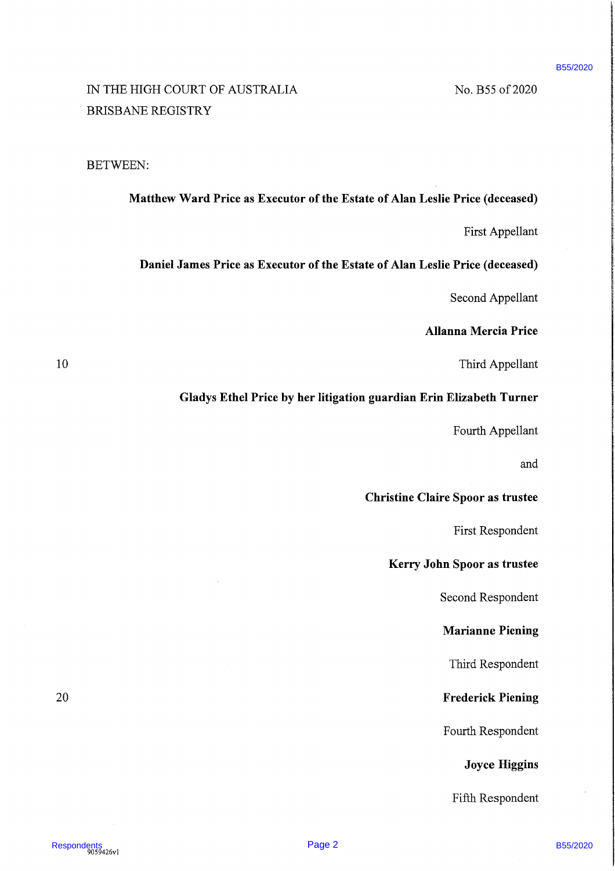### B55/2020

# RESPOND: TO ATSILEATEA<br>
28 - RESPONDENT UNITS AND CONSISTANT UNITS AND CONSISTANT UNITS AND CONSIST UNITS AND THE UNITS ARE<br>
28 - MATHEMATIC MANUSIMUM PRICE AS Executor of the Existe of Alan Leslie Price (deceased)<br>
25 - T IN THE HIGH COURT OF AUSTRALIA No. B55 of 2020 BRISBANE REGISTRY

### BETWEEN:

### Matthew Ward Price as Executor of the Estate of Alan Leslie Price (deceased)

First Appellant

### Daniel James Price as Executor of the Estate of Alan Leslie Price (deceased)

Second Appellant

### Allanna Mercia Price

10 Third Appellant

### Gladys Ethel Price by her litigation guardian Erin Elizabeth Turner

Fourth Appellant

and

### Christine Claire Spoor as trustee

First Respondent

Kerry John Spoor as trustee

Second Respondent

### Marianne Piening

Third Respondent

20 **Frederick Piening** 

Fourth Respondent

### Joyce Higgins

Fifth Respondent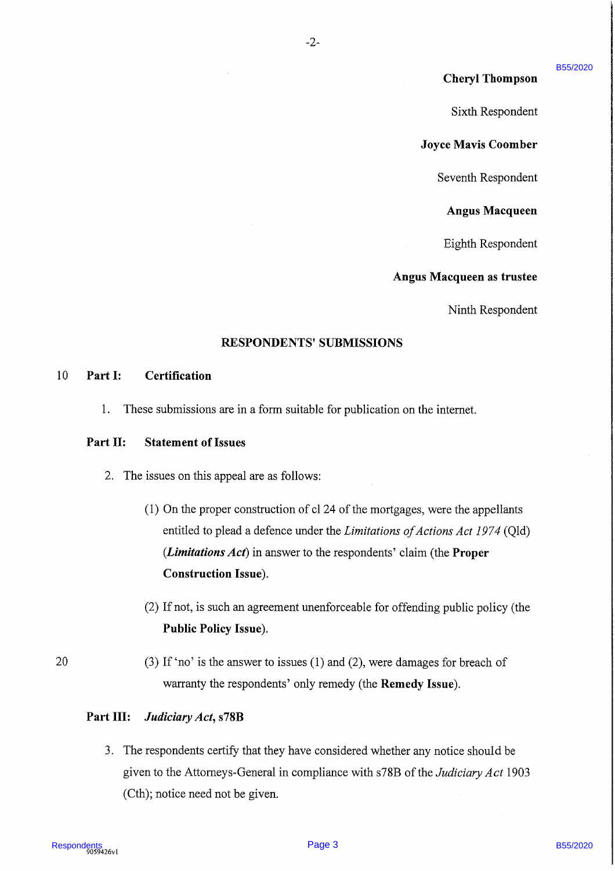### Cheryl Thompson

B55/2020

Sixth Respondent

Joyce Mavis Coomber

Seventh Respondent

Angus Macqueen

Eighth Respondent

### Angus Macqueen as trustee

Ninth Respondent

### RESPONDENTS' SUBMISSIONS

 $-2-$ 

### 10 Part I: Certification

1. These submissions are in a form suitable for publication on the internet.

### Part II: Statement of Issues

- 2. The issues on this appeal are as follows:
- **Cheryl Thompson**<br>
Sixth Respondent<br>
Sixth Respondent<br>
Jave Mavis Coumber<br>
Sixth Respondent<br>
Angus Macqueen as tensted<br>
Respondent<br>
Angus Macqueen as tensted<br>
Seconds<br>
Angus Macqueen as tensted<br>
Sixth Respondent<br>
Angus Ma  $(1)$  On the proper construction of cl 24 of the mortgages, were the appellants entitled to plead a defence under the *Limitations of Actions Act 1974* (Qld) (*Limitations Act*) in answer to the respondents' claim (the **Proper**) Construction Issue).
	- (2) If not, is such an agreement unenforceable for offending public policy (the Public Policy Issue).
- <sup>20</sup> (3) If 'no' is the answer to issues (1) and (2), were damages for breach of warranty the respondents' only remedy (the Remedy Issue).

### Part III: Judiciary Act, s78B

3. The respondents certify that they have considered whether any notice should be given to the Attorneys-General in compliance with s78B of the *Judiciary Act* 1903 (Cth); notice need not be given.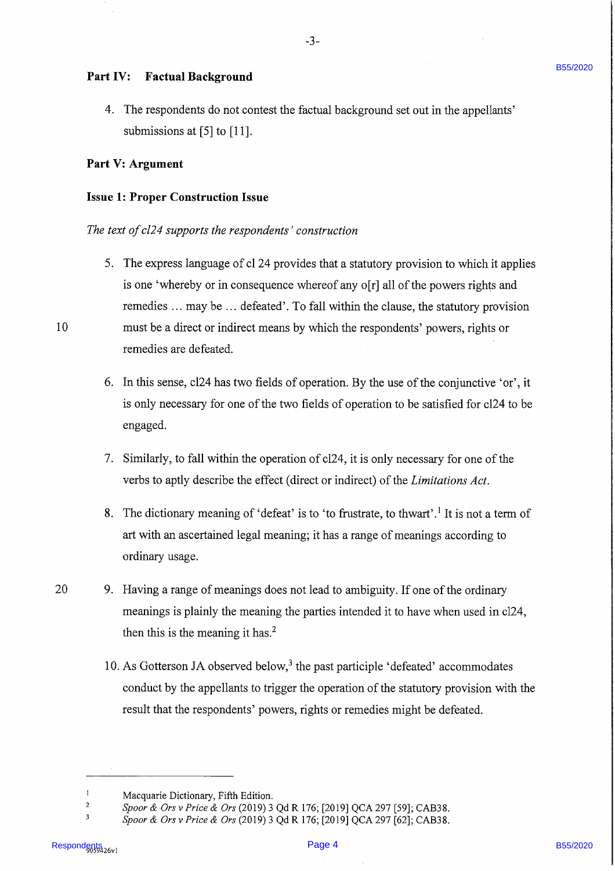### PartIV: Factual Background

4. The respondents do not contest the factual background set out in the appellants' submissions at [5] to [11].

 $-3-$ 

### Part V: Argument

### Issue 1: Proper Construction Issue

### The text of cl24 supports the respondents' construction

- **Part IV:** Pactual Background<br>
4. The respondents of not content the formal hackground set out in the appellants'<br> **Respondents B5** and (1911).<br> **Respondents B55/2020** (11).<br> **Respondents B55/2020** Background is content t 5. The express language of cl 24 provides that a statutory provision to which it applies is one 'whereby or in consequence whereof any o[r] all of the powers rights and remedies ... may be ... defeated'. To fall within the clause, the statutory provision 10 must be a direct or indirect means by which the respondents' powers, rights or remedies are defeated. .
	- 6. In this sense, cl24 has two fields of operation. By the use of the conjunctive 'or', it is only necessary for one of the two fields of operation to be satisfied for cl24 to be engaged.
	- 7. Similarly, to fall within the operation of cl24, it is only necessary for one of the verbs to aptly describe the effect (direct or indirect) of the Limitations Act.
	- 8. The dictionary meaning of 'defeat' is to 'to frustrate, to thwart'.<sup>1</sup> It is not a term of art with an ascertained legal meaning; it has a range of meanings according to ordinary usage.
- <sup>20</sup> 9. Having <sup>a</sup> range of meanings does not lead to ambiguity. If one of the ordinary meanings is plainly the meaning the parties intended it to have when used in cl24, then this is the meaning it has.<sup>2</sup>
	- 10. As Gotterson JA observed below, $3$  the past participle 'defeated' accommodates conduct by the appellants to trigger the operation of the statutory provision with the result that the respondents' powers, rights or remedies might be defeated.

Macquarie Dictionary, Fifth Edition.

<sup>&</sup>lt;sup>2</sup> Spoor & Ors v Price & Ors (2019) 3 Qd R 176; [2019] QCA 297 [59]; CAB38.

<sup>&</sup>lt;sup>3</sup> Spoor & Ors v Price & Ors (2019) 3 Qd R 176; [2019] QCA 297 [62]; CAB38.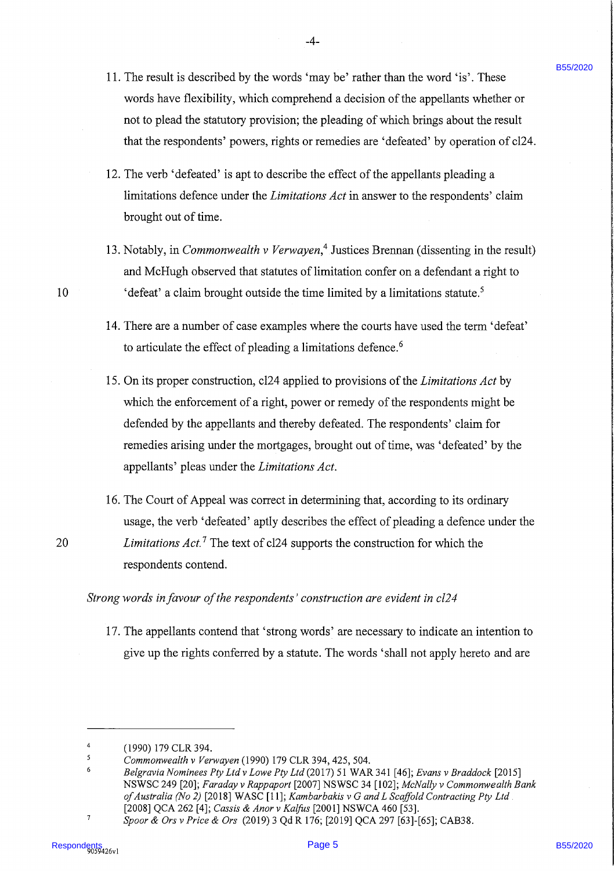11. The result is described by the words 'may be' rather than the word 'is'. These words have flexibility, which comprehend a decision of the appellants whether or not to plead the statutory provision; the pleading of which brings about the result that the respondents' powers, rights or remedies are 'defeated' by operation of cl24.

 $-4-$ 

- 12. The verb 'defeated' is apt to describe the effect of the appellants pleading <sup>a</sup> limitations defence under the Limitations Act in answer to the respondents' claim brought out of time.
- 13. Notably, in *Commonwealth v Verwayen*,<sup>4</sup> Justices Brennan (dissenting in the result) and McHugh observed that statutes of limitation confer on a defendant a right to 'defeat' a claim brought outside the time limited by a limitations statute.<sup>5</sup>
- 14. There are a number of case examples where the courts have used the term 'defeat' to articulate the effect of pleading a limitations defence.<sup>6</sup>
- 11. The result is described by the words 'rangy be' enther than the words' is". These<br>voted have the first higher controller than the description of the appellents whether a first of the stress of the stress and the stres 15. On its proper construction, cl24 applied to provisions of the Limitations Act by which the enforcement of a right, power or remedy of the respondents might be defended by the appellants and thereby defeated. The respondents' claim for remedies arising under the mortgages, brought out of time, was 'defeated' by the appellants' pleas under the Limitations Act.
	- 16. The Court of Appeal was correct in determining that, according to its ordinary usage, the verb 'defeated' aptly describes the effect of pleading a defence under the Limitations  $Act.^{7}$  The text of cl24 supports the construction for which the respondents contend.

### Strong words in favour of the respondents' construction are evident in cl24

17. The appellants contend that 'strong words' are necessary to indicate an intention to give up the rights conferred by a statute. The words 'shall not apply hereto and are

20

<sup>(1990)</sup> 179 CLR 394.

Commonwealth v Verwayen (1990) 179 CLR 394, 425, 504.

Belgravia Nominees Pty Ltd v Lowe Pty Ltd (2017) 51 WAR 341 [46]; Evans v Braddock [2015] NSWSC 249 [20]; Faraday v Rappaport [2007] NSWSC 34 [102]; McNally v Commonwealth Bank ofAustralia (No 2) [2018] WASC [11]; Kambarbakis v <sup>G</sup> and L Scaffold Contracting Pty Ltd. [2008] QCA 262 [4]; Cassis & Anor v Kalfus [2001] NSWCA 460 [53].

Spoor & Ors v Price & Ors (2019) <sup>3</sup> Qd R 176; [2019] QCA 297 [63]-[65]; CAB38.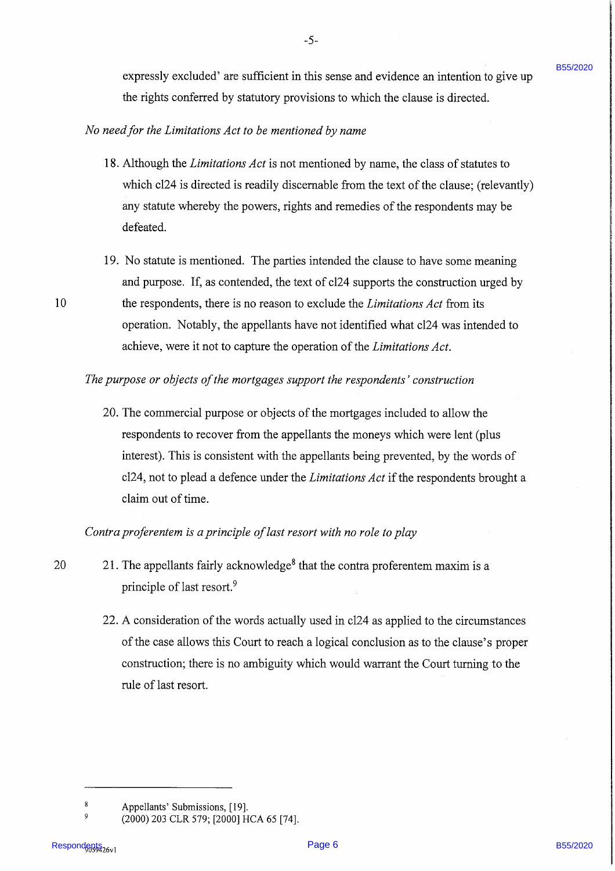expressly excluded' are sufficient in this sense and evidence an intention to give up the rights conferred by statutory provisions to which the clause is directed.

### No need for the Limitations Act to be mentioned by name

- 18. Although the Limitations Act is not mentioned by name, the class of statutes to which cl24 is directed is readily discernable from the text of the clause; (relevantly) any statute whereby the powers, rights and remedies of the respondents may be defeated.
- 19. No statute is mentioned. The parties intended the clause to have some meaning and purpose. If, as contended, the text of cl24 supports the construction urged by 10 the respondents, there is no reason to exclude the *Limitations Act* from its operation. Notably, the appellants have not identified what cl24 was intended to achieve, were it not to capture the operation of the *Limitations Act*.

### The purpose or objects of the mortgages support the respondents' construction

expressive contracts the contribution in this state and evidence an intertion to give up<br>the contract of the state of the state of the state of the state of the state of the state of the state of the state of the state of 20. The commercial purpose or objects of the mortgages included to allow the respondents to recover from the appellants the moneys which were lent (plus interest). This is consistent with the appellants being prevented, by the words of  $cl24$ , not to plead a defence under the *Limitations Act* if the respondents brought a claim out of time.

Contra proferentem is a principle of last resort with no role to play

- 20 21. The appellants fairly acknowledge<sup>8</sup> that the contra proferentem maxim is a principle of last resort.?
	- 22. A consideration of the words actually used in cl24 as applied to the circumstances of the case allows this Court to reacha logical conclusion as to the clause's proper construction; there is no ambiguity which would warrant the Court turning to the rule of last resort.

B55/2020

Appellants' Submissions, [19].

<sup>,</sup> (2000) 203 CLR 579; [2000] HCA 65 [74].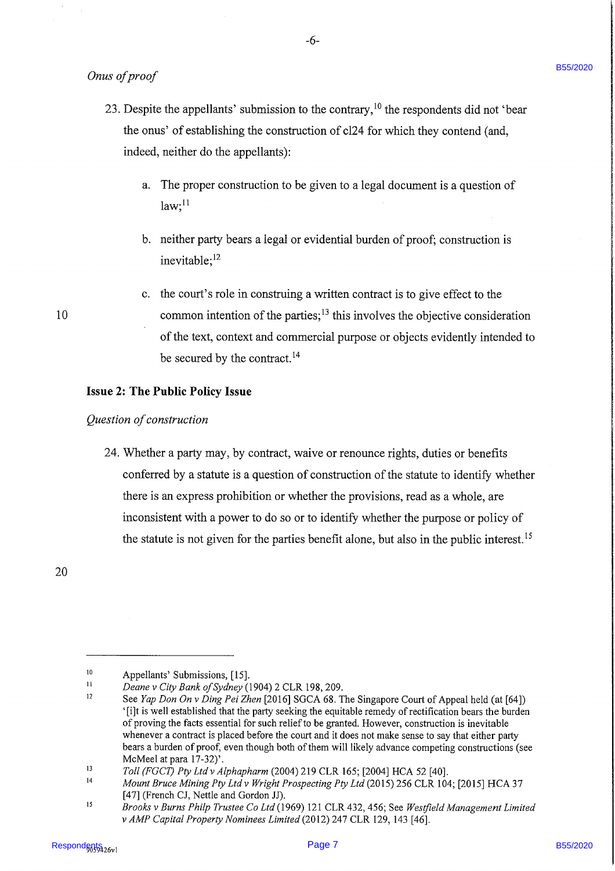Onus of proof

- 23. Despite the appellants' submission to the contrary,  $^{10}$  the respondents did not 'bear the onus' of establishing the construction of cl24 for which they contend (and, indeed, neither do the appellants):
	- a. The proper construction to be given to a legal document is a question of  $law;$ <sup>11</sup>
	- b. neither party bears a legal or evidential burden of proof; construction is inevitable;<sup>12</sup>
	- c. the court's role in construing a written contract is to give effect to the common intention of the parties; $<sup>13</sup>$  this involves the objective consideration</sup> of the text, context and commercial purpose or objects evidently intended to be secured by the contract.<sup>14</sup>

### Issue 2: The Public Policy Issue

### Question of construction

Ontar of proof<br>
23. Despite the appellants buttomic to the currency,<sup>10</sup> the respondents did act "best meaning" of the mini-of the contraction of cl24 for which they constant (and,<br>
indeed, notifier dat the appellants):<br> 24. Whether a party may, by contract, waive or renounce rights, duties or benefits conferred by a statute is a question of construction of the statute to identify whether there is an express prohibition or whether the provisions, read as <sup>a</sup> whole, are inconsistent with <sup>a</sup> power to do so or to identify whether the purpose or policy of the statute is not given for the parties benefit alone, but also in the public interest.<sup>15</sup>

20

Appellants' Submissions, [15].

Deane v City Bank of Sydney (1904) 2 CLR 198, 209.

See Yap Don On v Ding Pei Zhen [2016] SGCA 68. The Singapore Court of Appeal held (at [64]) '[iJt is well established that the party seeking the equitable remedy of rectification bears the burden of proving the facts essential for such relief to be granted. However, construction is inevitable whenever a contract is placed before the court and it does not make sense to say that either party bears a burden of proof, even though both of them will likely advance competing constructions (see McMeel at para 17-32)'.

Toll (FGCT) Pty Ltd v Alphapharm (2004) 219 CLR 165; [2004] HCA 52 [40].

Mount Bruce Mining Pty Ltd v Wright Prospecting Pty Ltd (2015) 256 CLR 104; [2015] HCA 37 [47] (French CJ, Nettle and Gordon JJ).

Brooks v Burns Philp Trustee Co Ltd (1969) 121 CLR 432, 456; See Westfield Management Limited v AMP Capital Property Nominees Limited (2012) 247 CLR 129, 143 [46].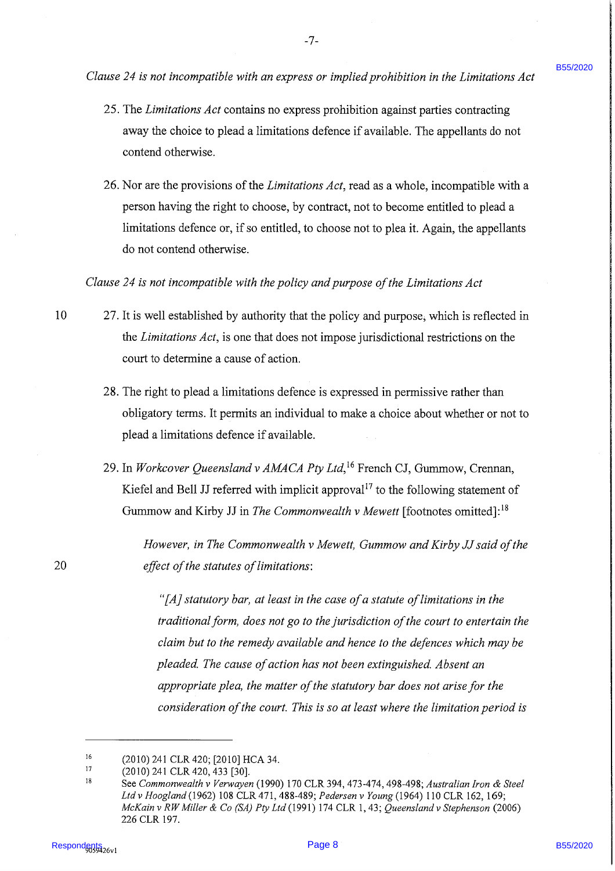Clause 24 is not incompatible with an express or implied prohibition in the Limitations Act

- 25. The Limitations Act contains no express prohibition against parties contracting away the choice to plead <sup>a</sup> limitations defence if available. The appellants do not contend otherwise.
- 26. Nor are the provisions of the Limitations Act, read as a whole, incompatible with a person having the right to choose, by contract, not to become entitled to plead a limitations defence or, if so entitled, to choose not to plea it. Again, the appellants do not contend otherwise.

Clause 24 is not incompatible with the policy and purpose of the Limitations Act

- 10 27. It is well established by authority that the policy and purpose, which is reflected in the Limitations Act, is one that does not impose jurisdictional restrictions on the court to determine a cause of action.
	- 28. The right to plead a limitations defence is expressed in permissive rather than obligatory terms. It permits an individual to make a choice about whether or not to plead <sup>a</sup> limitations defence if available.
	- 29. In Workcover Queensland v AMACA Pty Ltd,<sup>16</sup> French CJ, Gummow, Crennan, Kiefel and Bell JJ referred with implicit approval<sup>17</sup> to the following statement of Gummow and Kirby JJ in The Commonwealth v Mewett [footnotes omitted]:<sup>18</sup>

However, in The Commonwealth v Mewett, Gummow and Kirby JJ said of the 20 effect of the statutes of limitations:

Cleane 24 is not becomposite with an express on ineplate probletion is the Livetican Act<br>
25. The Lindestony Act containing the contact process problem is the structure of the structure of the structure of the structure o "[A] statutory bar, at least in the case of a statute of limitations in the traditional form, does not go to the jurisdiction of the court to entertain the claim but to the remedy available and hence to the defences which may be pleaded. The cause of action has not been extinguished. Absent an appropriate plea, the matter of the statutory bar does not arise for the consideration of the court. This is so at least where the limitation period is

B55/2020

<sup>&</sup>lt;sup>16</sup> (2010) 241 CLR 420; [2010] HCA 34.<br><sup>17</sup> (2010) 241 CLB 420, 422 5201

 $17$  (2010) 241 CLR 420, 433 [30].

See Commonwealth v Verwayen (1990) 170 CLR 394, 473-474, 498-498; Australian Iron & Steel Ltdv Hoogland (1962) <sup>108</sup> CLR 471, 488-489; Pedersen <sup>v</sup> Young (1964) <sup>110</sup> CLR 162, 169; McKain v RW Miller & Co (SA) Pty Ltd (1991) 174 CLR 1, 43; Queensland v Stephenson (2006) 226 CLR 197.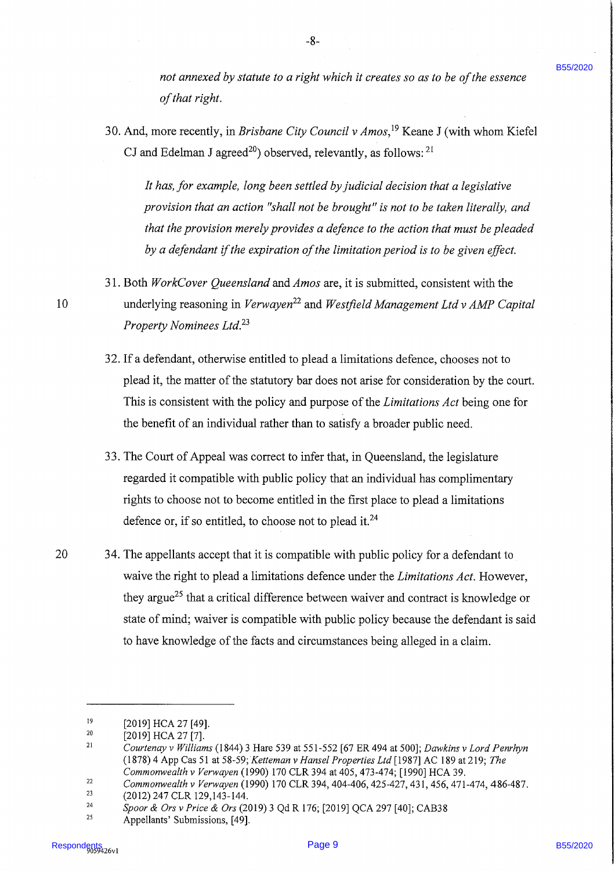\_8-

not annexed by statute to a right which it creates so as to be of the essence of that right.

30. And, more recently, in Brisbane City Council v  $Amos$ , <sup>19</sup> Keane J (with whom Kiefel CJ and Edelman J agreed<sup>20</sup>) observed, relevantly, as follows: <sup>21</sup>

It has, for example, long been settled by judicial decision that a legislative provision that an action "shall not be brought" is not to be taken literally, and that the provision merely provides a defence to the action that must be pleaded by a defendant if the expiration of the limitation period is to be given effect.

- 31. Both WorkCover Queensland and Amos are, it is submitted, consistent with the 10 underlying reasoning in Verwayen<sup>22</sup> and Westfield Management Ltd v AMP Capital Property Nominees Ltd.<sup>23</sup>
	- 32. If <sup>a</sup> defendant, otherwise entitled to plead <sup>a</sup> limitations defence, chooses not to plead it, the matter of the statutory bar does not arise for consideration by the court. This is consistent with the policy and purpose of the *Limitations Act* being one for the benefit of an individual rather than to satisfy a broader public need.
	- 33. The Court of Appeal was correct to infer that, in Queensland, the legislature regarded it compatible with public policy that an individual has complimentary rights to choose not to become entitled in the first place to plead a limitations defence or, if so entitled, to choose not to plead it. $^{24}$
- sea ammonial by stanlar to a rigid which is creates so as to be of the structure<br>
2.6 And, most recently, in Brisbow City Coronal's cheme). Keen I (with where Kinich (C) and Behlzuna 1 ingreed<sup>46</sup>) observed, celevatingly, 20 34. The appellants accept that it is compatible with public policy for a defendant to waive the right to plead a limitations defence under the Limitations Act. However, they argue<sup>25</sup> that a critical difference between waiver and contract is knowledge or state of mind; waiver is compatible with public policy because the defendant is said to have knowledge of the facts and circumstances being alleged in <sup>a</sup> claim.

<sup>&</sup>lt;sup>19</sup> [2019] HCA 27 [49].

<sup>&</sup>lt;sup>20</sup> [2019] HCA 27 [7].

<sup>2</sup> Courtenay v Williams (1844) <sup>3</sup> Hare 539 at 551-552 [67 ER 494 at 500]; Dawkins v Lord Penrhyn (1878) 4 App Cas 51 at 58-59;Ketteman v Hansel Properties Ltd [1987] AC 189 at 219; The Commonwealth v Verwayen (1990) 170 CLR 394 at 405, 473-474; [1990] HCA 39.

<sup>&</sup>lt;sup>22</sup> Commonwealth v Verwayen (1990) 170 CLR 394, 404-406, 425-427, 431, 456, 471-474, 486-487.

<sup>23</sup> (2012) 247 CLR 129,143-144.

<sup>24</sup> Spoor & Ors v Price & Ors (2019) 3 Qd R 176; [2019] QCA 297 [40]; CAB38

Appellants' Submissions, [49].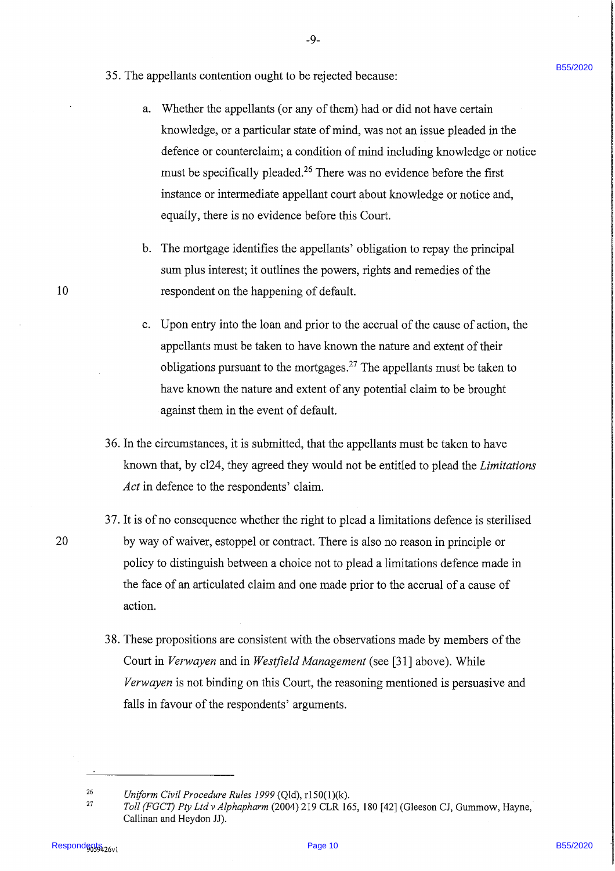- 
- 35. The appellants contention ought to be rejected because:
- 35. The appellants expansion ought to be rejected because:<br>
a. Whefor the appellants (of any of them) had out all other date planetes the space secure the space of a space theorem is a condition of mind including knowledg a. Whether the appellants (or any of them) had or did not have certain knowledge, or a particular state of mind, was not an issue pleaded in the defence or counterclaim; a condition of mind including knowledge or notice must be specifically pleaded.<sup>26</sup> There was no evidence before the first instance or intermediate appellant court about knowledge or notice and, equally, there is no evidence before this Court.

-9-

- b. The mortgage identifies the appellants' obligation to repay the principal sum plus interest; it outlines the powers, rights and remedies of the respondent on the happening of default.
- c. Upon entry into the loan and prior to the accrual of the cause of action, the appellants must be taken to have known the nature and extent of their obligations pursuant to the mortgages.<sup>27</sup> The appellants must be taken to have known the nature and extent of any potential claim to be brought against them in the event of default.
- 36. In the circumstances, it is submitted, that the appellants must be taken to have known that, by cl24, they agreed they would not be entitled to plead the Limitations Act in defence to the respondents' claim.
- 37. It is of no consequence whether the right to plead a limitations defence is sterilised by way of waiver, estoppel or contract. There is also no reason in principle or policy to distinguish between a choice not to plead a limitations defence made in the face of an articulated claim and one made prior to the accrual of <sup>a</sup> cause of action.
- 38. These propositions are consistent with the observations made by members of the Court in Verwayen and in Westfield Management (see [31] above). While Verwayen is not binding on this Court, the reasoning mentioned is persuasive and falls in favour of the respondents' arguments.

10

<sup>26</sup> Uniform Civil Procedure Rules 1999 (Qld), r150(1)(k).

<sup>27</sup> Toll (FGCT) Pty Ltd v Alphapharm (2004) 219 CLR 165, 180 [42] (Gleeson CJ, Gummow, Hayne, Callinan and Heydon JJ).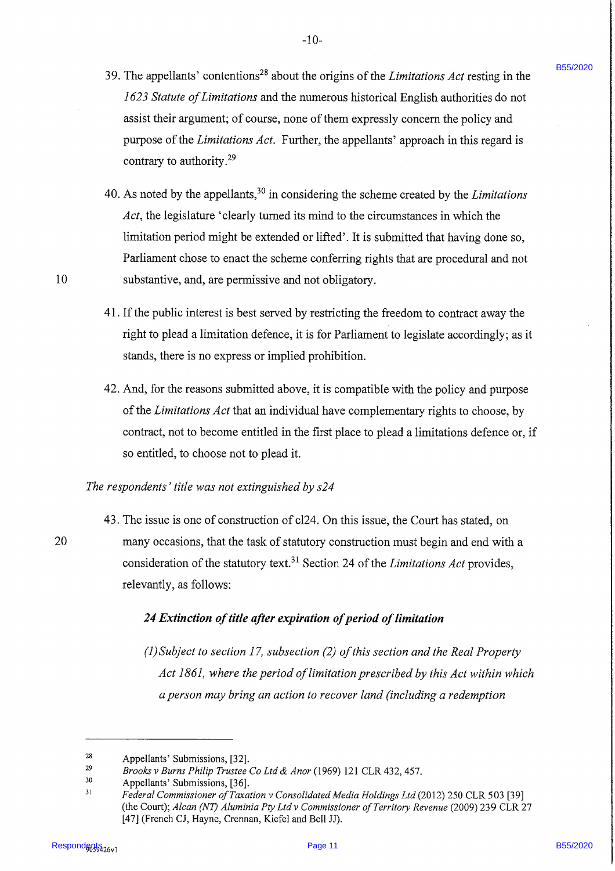- 39. The appellants' contentions<sup>28</sup> about the origins of the *Limitations Act* resting in the 1623 Statute of Limitations and the numerous historical English authorities do not assist their argument; of course, none of them expressly concern the policy and purpose of the *Limitations Act*. Further, the appellants' approach in this regard is contrary to authority. $^{29}$
- 19 The appellants' contentions <sup>19</sup> about the origina of the Lindstone Act resting in the 1623 Strate of Lindstone and the numerous thin the internal page 163 Page 163 Page 1120 Page 163 Page 1120 Page 12020 Page 1120 Pa 40. As noted by the appellants,  $30$  in considering the scheme created by the *Limitations* Act, the legislature 'clearly turned its mind to the circumstances in which the limitation period might be extended or lifted'. It is submitted that having done so, Parliament chose to enact the scheme conferring rights that are procedural and not substantive, and, are permissive and not obligatory.
	- 41. If the public interest is best served by restricting the freedom to contract away the right to plead a limitation defence, it is for Parliament to legislate accordingly; as it stands, there is no express or implied prohibition.
	- 42. And, for the reasons submitted above, it is compatible with the policy and purpose of the Limitations Act that an individual have complementary rights to choose, by contract, not to become entitled in the first place to plead <sup>a</sup> limitations defence or, if so entitled, to choose not to plead it.

### The respondents' title was not extinguished by s24

43. The issue is one of construction of cl24. On this issue, the Court has stated, on many occasions, that the task of statutory construction must begin and end with a consideration of the statutory text.<sup>31</sup> Section 24 of the *Limitations Act* provides, relevantly, as follows:

### 24 Extinction of title after expiration of period of limitation

(1) Subject to section 17, subsection (2) of this section and the Real Property Act 1861, where the period of limitation prescribed by this Act within which aperson may bring an action to recover land (including a redemption

10

<sup>28</sup> Appellants' Submissions, [32].

<sup>29</sup> Brooks v Burns Philip Trustee Co Ltd & Anor (1969) 121 CLR 432, 457.

<sup>30</sup> Appellants' Submissions, [36].

<sup>31</sup> Federal Commissioner of Taxation v Consolidated Media Holdings Ltd (2012) 250 CLR 503 [39] (the Court); Alcan (NT) Aluminia Pty Ltd v Commissioner of Territory Revenue (2009) 239 CLR 27 [47] (French CJ, Hayne, Crennan, Kiefel and Bell JJ).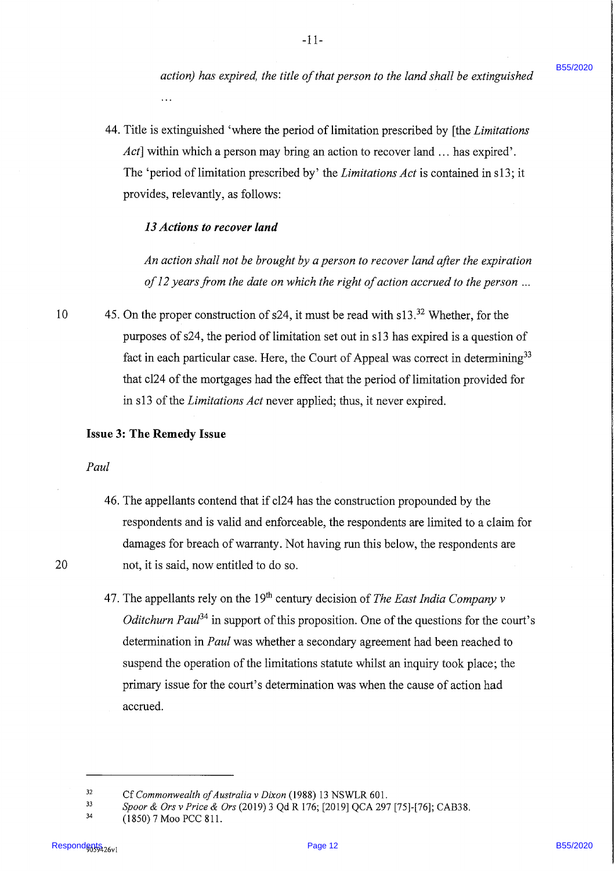action) has expired, the title of that person to the land shall be extinguished

44. Title is extinguished 'where the period of limitation prescribed by [the *Limitations* Act] within which a person may bring an action to recover land ... has expired'. The 'period of limitation prescribed by' the *Limitations Act* is contained in s13; it provides, relevantly, as follows:

### 13 Actions to recover land

An action shall not be brought by a person to recover land after the expiration of  $12$  years from the date on which the right of action accrued to the person ...

10 45. On the proper construction of s24, it must be read with s13.<sup>32</sup> Whether, for the purposes of s24, the period of limitation set out in s13 has expired is a question of fact in each particular case. Here, the Court of Appeal was correct in determining<sup>33</sup> that cl24 of the mortgages had the effect that the period of limitation provided for in s13 of the *Limitations Act* never applied; thus, it never expired.

### Issue 3: The Remedy Issue

### Paul

- 46. The appellants contend that if cl24 has the construction propounded by the respondents and is valid and enforceable, the respondents are limited to a claim for damages for breach of warranty. Not having run this below, the respondents are 20 not, it is said, now entitled to do so.
- ontion) four expression the right of the process to the land dail is exclugated of<br>
A4. This is exhigated if "where the period of first<br>basis person that ... In the Limitation process and the period of first<br>basis period 47. The appellants rely on the 19<sup>th</sup> century decision of *The East India Company v Oditchurn Paul*<sup>34</sup> in support of this proposition. One of the questions for the court's determination in *Paul* was whether a secondary agreement had been reached to suspend the operation of the limitations statute whilst an inquiry took place; the primary issue for the court's determination was when the cause of action had accrued.

 $32$  Cf Commonwealth of Australia v Dixon (1988) 13 NSWLR 601.

 $\frac{33}{2}$  Spoor & Ors v Price & Ors (2019) 3 Qd R 176; [2019] QCA 297 [75]-[76]; CAB38.

<sup>(1850) 7</sup> Moo PCC 811.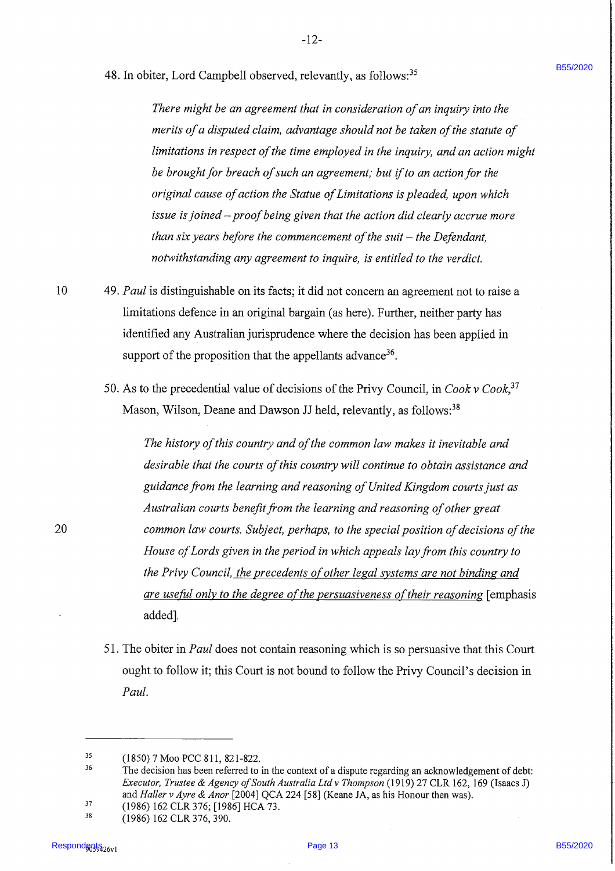48. In obiter, Lord Campbell observed, relevantly, as follows:<sup>35</sup>

-12-

There might be an agreement that in consideration of an inquiry into the merits of a disputed claim, advantage should not be taken of the statute of limitations in respect of the time employed in the inquiry, and an action might be brought for breach of such an agreement; but if to an action for the original cause of action the Statue of Limitations is pleaded, upon which issue is joined – proof being given that the action did clearly accrue more than six years before the commencement of the suit  $-$  the Defendant, notwithstanding any agreement to inquire, is entitled to the verdict.

- 10 49. Paul is distinguishable on its facts; it did not concern an agreement not to raise a limitations defence in an original bargain (as here). Further, neither party has identified any Australian jurisprudence where the decision has been applied in support of the proposition that the appellants advance<sup>36</sup>.
	- 50. As to the precedential value of decisions of the Privy Council, in  $Cook$  v  $Cook$ <sup>37</sup> Mason, Wilson, Deane and Dawson JJ held, relevantly, as follows:<sup>38</sup>

48. In this is, 1 cash Campbell i choewed, relevantly, as Subseq.<sup>26</sup><br>There alight b on agreement that is consideration of our hyper-incident page in the state of the properties and the consideration of our hyper-inciden The history of this country and of the common law makes it inevitable and desirable that the courts of this country will continue to obtain assistance and guidance from the learning and reasoning of United Kingdom courts just as Australian courts benefit from the learning and reasoning of other great common law courts. Subject, perhaps, to the special position of decisions of the House of Lords given in the period in which appeals lay from this country to the Privy Council, the precedents of other legal systems are not binding and are useful only to the degree of the persuasiveness of their reasoning [emphasis added].

51. The obiter in *Paul* does not contain reasoning which is so persuasive that this Court ought to follow it; this Court is not bound to follow the Privy Council's decision in Paul.

38 (1986) 162 CLR 376, 390.

<sup>35</sup> (1850) 7 Moo PCC 811, 821-822.

<sup>36</sup> The decision has been referred to in the context of a dispute regarding an acknowledgement of debt: Executor, Trustee & Agency of South Australia Ltd v Thompson (1919) 27 CLR 162, 169 (Isaacs J) and Haller v Ayre & Anor [2004] QCA 224 [58] (Keane JA, as his Honour then was).

<sup>37</sup> (1986) 162 CLR 376; [1986] HCA 73.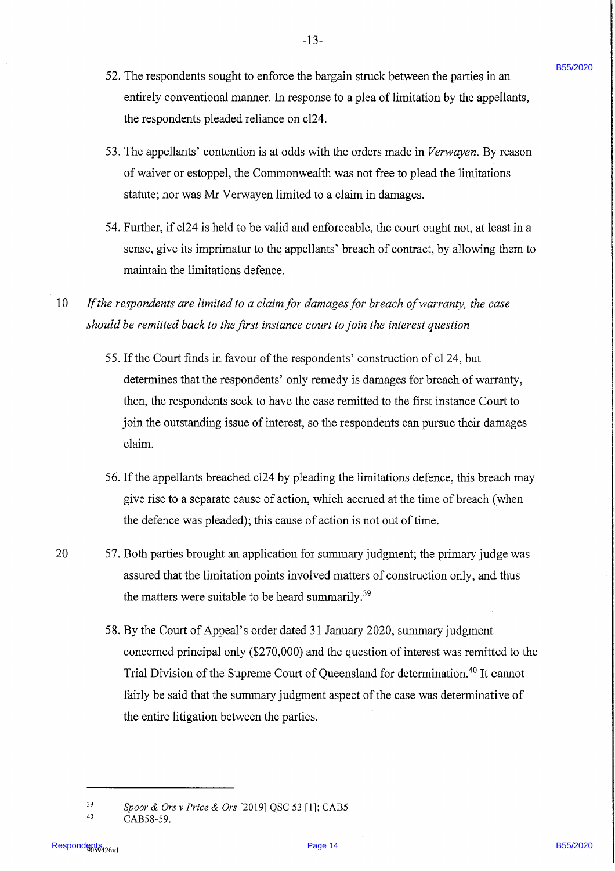- 52. The respondents sought to enforce the bargain struck between the parties in an entirely conventional manner. In response to a plea of limitation by the appellants, the respondents pleaded reliance on cl24.
- 53. The appellants' contention is at odds with the orders made in Verwayen. By reason of waiver or estoppel, the Commonwealth was not free to plead the limitations statute; nor was Mr Verwayen limited to a claim in damages.
- 54. Further, if cl24 is held to be valid and enforceable, the court ought not, at least in <sup>a</sup> sense, give its imprimatur to the appellants' breach of contract, by allowing them to maintain the limitations defence.
- $10$  If the respondents are limited to a claim for damages for breach of warranty, the case should be remitted back to the first instance court to join the interest question
	- 55. If the Court finds in favour of the respondents' construction of cl 24, but determines that the respondents' only remedy is damages for breach of warranty, then, the respondents seek to have the case remitted to the first instance Court to join the outstanding issue of interest, so the respondents can pursue their damages claim.
	- 56. If the appellants breached cl24 by pleading the limitations defence, this breach may give rise to a separate cause of action, which accrued at the time of breach (when the defence was pleaded); this cause of action is not out of time.
- 20 57. Both parties brought an application for summary judgment; the primary judge was assured that the limitation points involved matters of construction only, and thus the matters were suitable to be heard summarily. $^{39}$
- 52. The respondents sought to confere the bargain attrack however the particle is the magnitude barrier in the magnitude of the magnitude of the magnitude of the magnitude of the magnitude of the magnitude of the magnitud 58. By the Court of Appeal's order dated 31 January 2020, summary judgment concerned principal only (\$270,000) and the question of interest was remitted to the Trial Division of the Supreme Court of Queensland for determination.<sup>40</sup> It cannot fairly be said that the summary judgment aspect of the case was determinative of the entire litigation between the parties.

39 40

B55/2020

Spoor & Ors v Price & Ors [2019] QSC 53 [1]; CAB5 CAB58-59.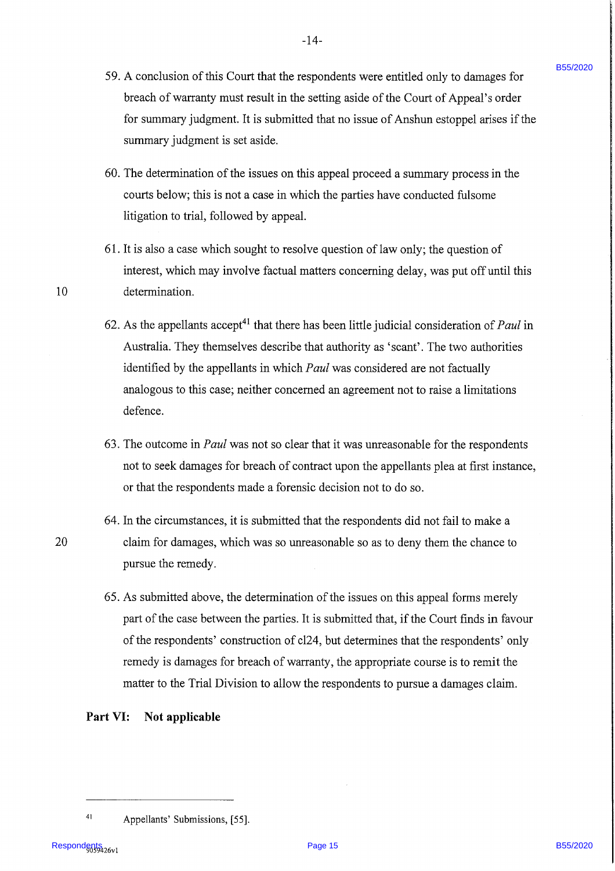59. A conclusion of this Court that the respondents were entitled only to damages for breach of warranty must result in the setting aside of the Court of Appeal's order for summary judgment. It is submitted that no issue of Anshun estoppel arises if the summary judgment is set aside.

-14-

- 60. The determination of the issues on this appeal proceed a summary process in the courts below; this is not a case in which the parties have conducted fulsome litigation to trial, followed by appeal.
- 61. It is also a case which sought to resolve question of law only; the question of interest, which may involve factual matters concerning delay, was put off until this 10 determination.
	- 62. As the appellants accept<sup>41</sup> that there has been little judicial consideration of *Paul* in Australia. They themselves describe that authority as 'scant'. The two authorities identified by the appellants in which *Paul* was considered are not factually analogous to this case; neither concerned an agreement not to raise a limitations defence.
	- 63. The outcome in Paul was not so clear that it was unreasonable for the respondents not to seek damages for breach of contract upon the appellants plea at first instance, or that the respondents made a forensic decision not to do so.
- 64. In the circumstances, it is submitted that the respondents did not fail to make a 20 claim for damages, which was so unreasonable so as to deny them the chance to pursue the remedy.
- 59. A concludion of this Court diat the respondents were entitled only to damages for<br>heading of vertex particular and the set with the signification of Appella covert<br>of the mannery judgment. It is subsided that no issue 65. As submitted above, the determination of the issues on this appeal forms merely part of the case between the parties. It is submitted that, if the Court finds in favour of the respondents' construction of cl24, but determines that the respondents' only remedy is damages for breach of warranty, the appropriate course is to remit the matter to the Trial Division to allow the respondents to pursue a damages claim.

### Part VI: Not applicable

<sup>41</sup> Appellants' Submissions, [55].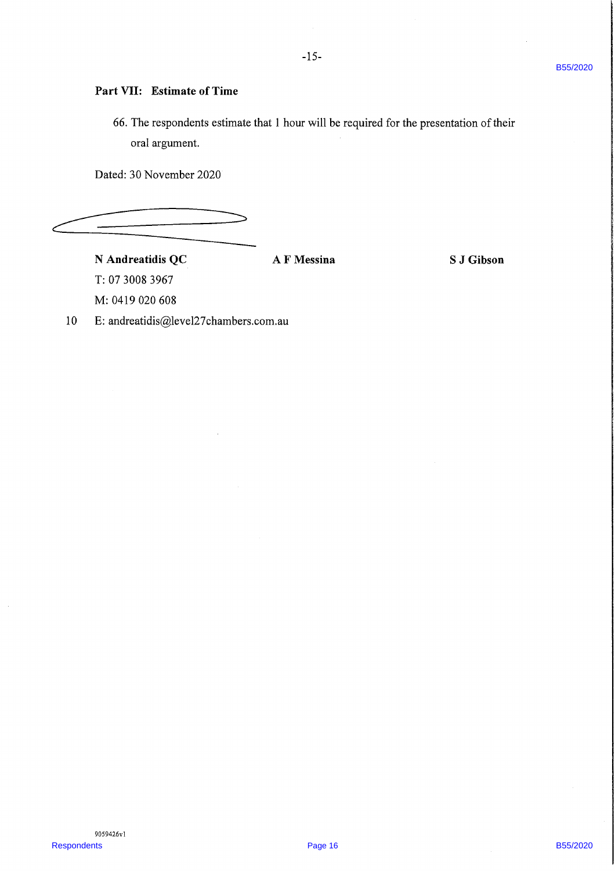### Part VII: Estimate of Time

Part VII: Restinate of Time<br>
16. The respondents as sizable that I bout will be required for the presumation of their<br>
under SO November, 2020<br>
Page 16. A F Messian<br>
R. Andreandalis QC<br>
16. The oriented disgline 82.2 cum 66. The respondents estimate that 1 hour will be required for the presentation of their oral argument.

Dated: 30 November 2020

ee

# N Andreatidis QC <br>
A F Messina S J Gibson

T: 07 3008 3967 M: 0419 020 608

10 E: andreatidis@level27chambers.com.au